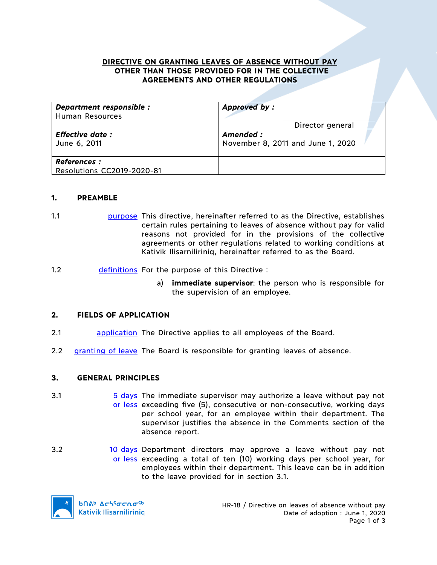## **DIRECTIVE ON GRANTING LEAVES OF ABSENCE WITHOUT PAY OTHER THAN THOSE PROVIDED FOR IN THE COLLECTIVE AGREEMENTS AND OTHER REGULATIONS**

| Department responsible :                          | Approved by:                      |  |
|---------------------------------------------------|-----------------------------------|--|
| <b>Human Resources</b>                            | Director general                  |  |
| <b>Effective date:</b>                            | Amended :                         |  |
| June 6, 2011                                      | November 8, 2011 and June 1, 2020 |  |
| <b>References :</b><br>Resolutions CC2019-2020-81 |                                   |  |

#### **1. PREAMBLE**

- 1.1 **purpose** This directive, hereinafter referred to as the Directive, establishes certain rules pertaining to leaves of absence without pay for valid reasons not provided for in the provisions of the collective agreements or other regulations related to working conditions at Kativik Ilisarniliriniq, hereinafter referred to as the Board.
- 1.2 definitions For the purpose of this Directive :
	- a) **immediate supervisor**: the person who is responsible for the supervision of an employee.

# **2. FIELDS OF APPLICATION**

- 2.1 application The Directive applies to all employees of the Board.
- 2.2 granting of leave The Board is responsible for granting leaves of absence.

#### **3. GENERAL PRINCIPLES**

- 3.1 5 days The immediate supervisor may authorize a leave without pay not or less exceeding five (5), consecutive or non-consecutive, working days per school year, for an employee within their department. The supervisor justifies the absence in the Comments section of the absence report.
- 3.2 10 days Department directors may approve a leave without pay not or less exceeding a total of ten (10) working days per school year, for employees within their department. This leave can be in addition to the leave provided for in section 3.1.

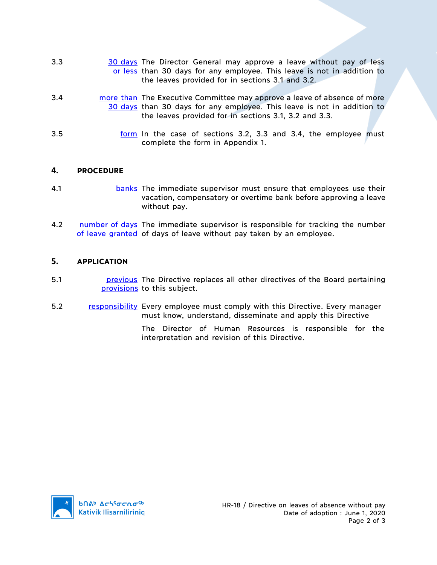- 3.3 30 30 days The Director General may approve a leave without pay of less or less than 30 days for any employee. This leave is not in addition to the leaves provided for in sections 3.1 and 3.2.
- 3.4 **more than** The Executive Committee may approve a leave of absence of more 30 days than 30 days for any employee. This leave is not in addition to the leaves provided for in sections 3.1, 3.2 and 3.3.
- 3.5 form In the case of sections 3.2, 3.3 and 3.4, the employee must complete the form in Appendix 1.

### **4. PROCEDURE**

- 4.1 **banks** The immediate supervisor must ensure that employees use their vacation, compensatory or overtime bank before approving a leave without pay.
- 4.2 number of days The immediate supervisor is responsible for tracking the number of leave granted of days of leave without pay taken by an employee.

### **5. APPLICATION**

- 5.1 **busines in Previous** The Directive replaces all other directives of the Board pertaining provisions to this subject.
- 5.2 responsibility Every employee must comply with this Directive. Every manager must know, understand, disseminate and apply this Directive
	- The Director of Human Resources is responsible for the interpretation and revision of this Directive.